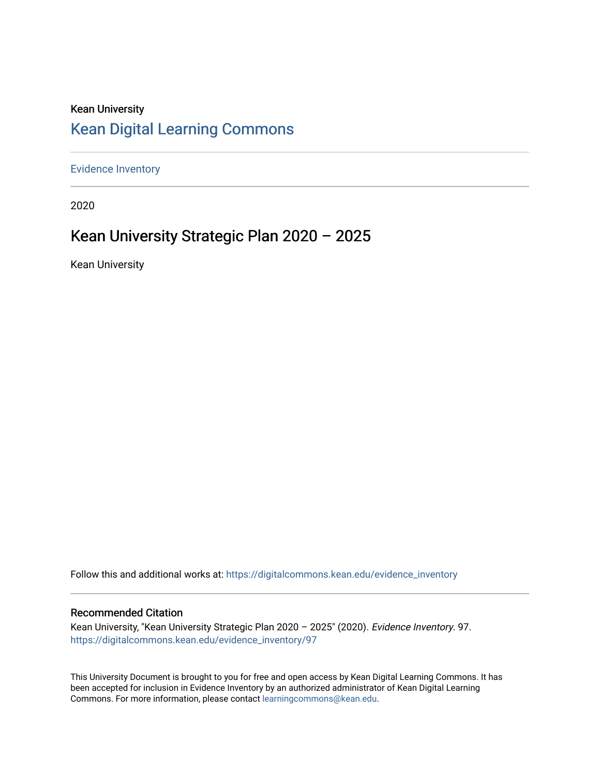# Kean University [Kean Digital Learning Commons](https://digitalcommons.kean.edu/)

[Evidence Inventory](https://digitalcommons.kean.edu/evidence_inventory) 

2020

# Kean University Strategic Plan 2020 – 2025

Kean University

Follow this and additional works at: [https://digitalcommons.kean.edu/evidence\\_inventory](https://digitalcommons.kean.edu/evidence_inventory?utm_source=digitalcommons.kean.edu%2Fevidence_inventory%2F97&utm_medium=PDF&utm_campaign=PDFCoverPages)

#### Recommended Citation

Kean University, "Kean University Strategic Plan 2020 – 2025" (2020). Evidence Inventory. 97. [https://digitalcommons.kean.edu/evidence\\_inventory/97](https://digitalcommons.kean.edu/evidence_inventory/97?utm_source=digitalcommons.kean.edu%2Fevidence_inventory%2F97&utm_medium=PDF&utm_campaign=PDFCoverPages)

This University Document is brought to you for free and open access by Kean Digital Learning Commons. It has been accepted for inclusion in Evidence Inventory by an authorized administrator of Kean Digital Learning Commons. For more information, please contact [learningcommons@kean.edu.](mailto:learningcommons@kean.edu)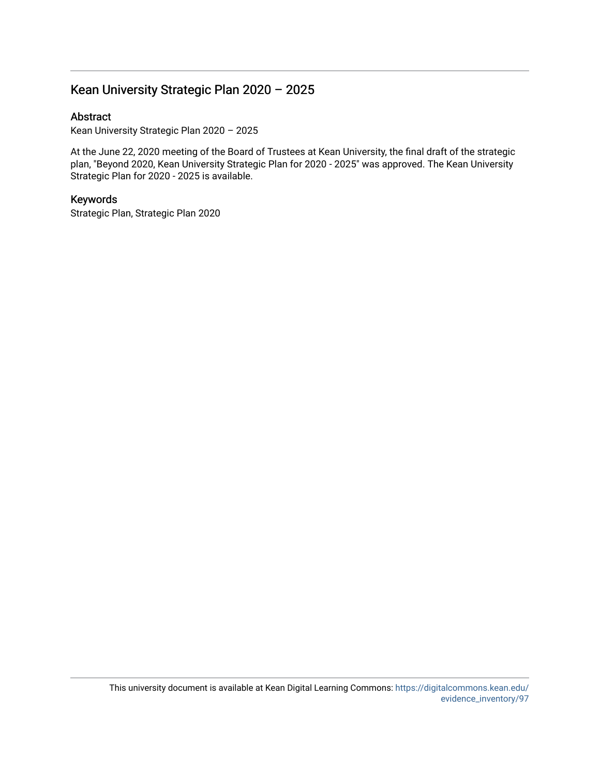## Kean University Strategic Plan 2020 – 2025

#### Abstract

Kean University Strategic Plan 2020 – 2025

At the June 22, 2020 meeting of the Board of Trustees at Kean University, the final draft of the strategic plan, "Beyond 2020, Kean University Strategic Plan for 2020 - 2025" was approved. The Kean University Strategic Plan for 2020 - 2025 is available.

#### Keywords

Strategic Plan, Strategic Plan 2020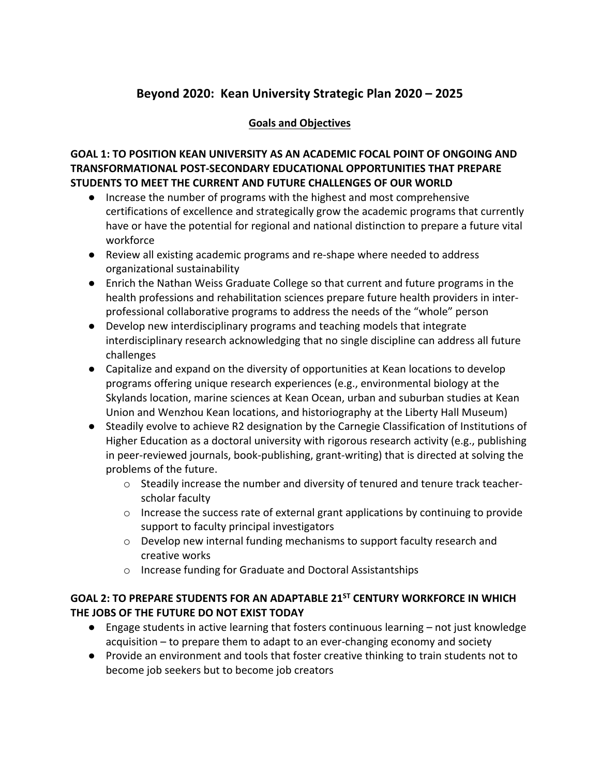## **Beyond 2020: Kean University Strategic Plan 2020 – 2025**

#### **Goals and Objectives**

#### **GOAL 1: TO POSITION KEAN UNIVERSITY AS AN ACADEMIC FOCAL POINT OF ONGOING AND TRANSFORMATIONAL POST-SECONDARY EDUCATIONAL OPPORTUNITIES THAT PREPARE STUDENTS TO MEET THE CURRENT AND FUTURE CHALLENGES OF OUR WORLD**

- Increase the number of programs with the highest and most comprehensive certifications of excellence and strategically grow the academic programs that currently have or have the potential for regional and national distinction to prepare a future vital workforce
- Review all existing academic programs and re-shape where needed to address organizational sustainability
- Enrich the Nathan Weiss Graduate College so that current and future programs in the health professions and rehabilitation sciences prepare future health providers in interprofessional collaborative programs to address the needs of the "whole" person
- Develop new interdisciplinary programs and teaching models that integrate interdisciplinary research acknowledging that no single discipline can address all future challenges
- Capitalize and expand on the diversity of opportunities at Kean locations to develop programs offering unique research experiences (e.g., environmental biology at the Skylands location, marine sciences at Kean Ocean, urban and suburban studies at Kean Union and Wenzhou Kean locations, and historiography at the Liberty Hall Museum)
- Steadily evolve to achieve R2 designation by the Carnegie Classification of Institutions of Higher Education as a doctoral university with rigorous research activity (e.g., publishing in peer-reviewed journals, book-publishing, grant-writing) that is directed at solving the problems of the future.
	- o Steadily increase the number and diversity of tenured and tenure track teacherscholar faculty
	- o Increase the success rate of external grant applications by continuing to provide support to faculty principal investigators
	- o Develop new internal funding mechanisms to support faculty research and creative works
	- o Increase funding for Graduate and Doctoral Assistantships

### **GOAL 2: TO PREPARE STUDENTS FOR AN ADAPTABLE 21ST CENTURY WORKFORCE IN WHICH THE JOBS OF THE FUTURE DO NOT EXIST TODAY**

- Engage students in active learning that fosters continuous learning not just knowledge acquisition – to prepare them to adapt to an ever-changing economy and society
- Provide an environment and tools that foster creative thinking to train students not to become job seekers but to become job creators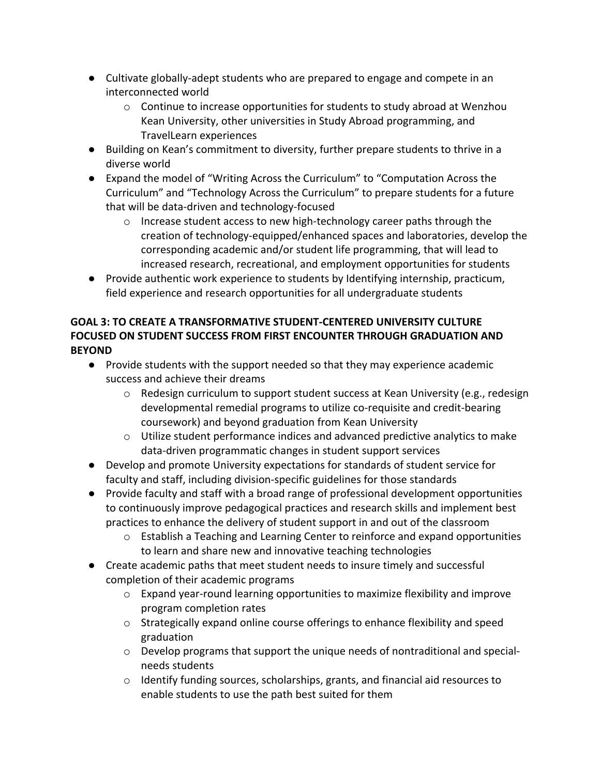- Cultivate globally-adept students who are prepared to engage and compete in an interconnected world
	- $\circ$  Continue to increase opportunities for students to study abroad at Wenzhou Kean University, other universities in Study Abroad programming, and TravelLearn experiences
- Building on Kean's commitment to diversity, further prepare students to thrive in a diverse world
- Expand the model of "Writing Across the Curriculum" to "Computation Across the Curriculum" and "Technology Across the Curriculum" to prepare students for a future that will be data-driven and technology-focused
	- $\circ$  Increase student access to new high-technology career paths through the creation of technology-equipped/enhanced spaces and laboratories, develop the corresponding academic and/or student life programming, that will lead to increased research, recreational, and employment opportunities for students
- Provide authentic work experience to students by Identifying internship, practicum, field experience and research opportunities for all undergraduate students

## **GOAL 3: TO CREATE A TRANSFORMATIVE STUDENT-CENTERED UNIVERSITY CULTURE FOCUSED ON STUDENT SUCCESS FROM FIRST ENCOUNTER THROUGH GRADUATION AND BEYOND**

- Provide students with the support needed so that they may experience academic success and achieve their dreams
	- $\circ$  Redesign curriculum to support student success at Kean University (e.g., redesign developmental remedial programs to utilize co-requisite and credit-bearing coursework) and beyond graduation from Kean University
	- $\circ$  Utilize student performance indices and advanced predictive analytics to make data-driven programmatic changes in student support services
- Develop and promote University expectations for standards of student service for faculty and staff, including division-specific guidelines for those standards
- Provide faculty and staff with a broad range of professional development opportunities to continuously improve pedagogical practices and research skills and implement best practices to enhance the delivery of student support in and out of the classroom
	- $\circ$  Establish a Teaching and Learning Center to reinforce and expand opportunities to learn and share new and innovative teaching technologies
- Create academic paths that meet student needs to insure timely and successful completion of their academic programs
	- $\circ$  Expand year-round learning opportunities to maximize flexibility and improve program completion rates
	- $\circ$  Strategically expand online course offerings to enhance flexibility and speed graduation
	- o Develop programs that support the unique needs of nontraditional and specialneeds students
	- o Identify funding sources, scholarships, grants, and financial aid resources to enable students to use the path best suited for them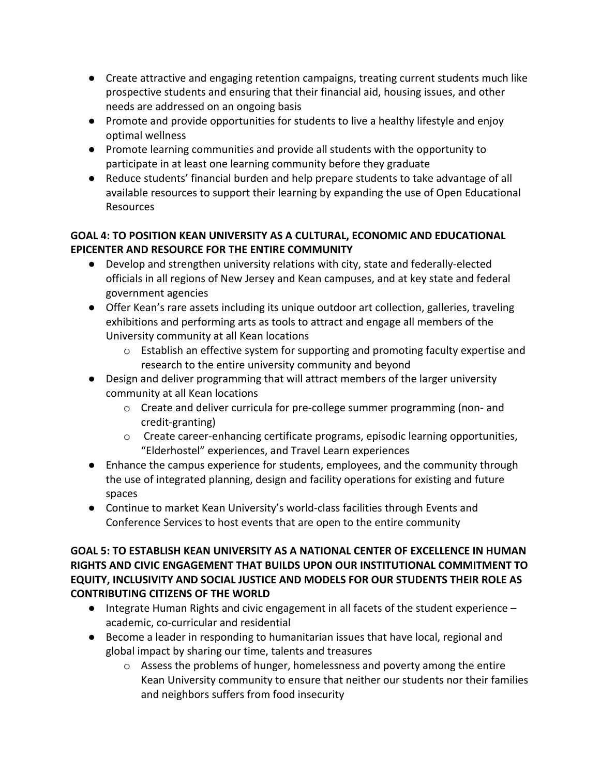- Create attractive and engaging retention campaigns, treating current students much like prospective students and ensuring that their financial aid, housing issues, and other needs are addressed on an ongoing basis
- Promote and provide opportunities for students to live a healthy lifestyle and enjoy optimal wellness
- Promote learning communities and provide all students with the opportunity to participate in at least one learning community before they graduate
- Reduce students' financial burden and help prepare students to take advantage of all available resources to support their learning by expanding the use of Open Educational Resources

### **GOAL 4: TO POSITION KEAN UNIVERSITY AS A CULTURAL, ECONOMIC AND EDUCATIONAL EPICENTER AND RESOURCE FOR THE ENTIRE COMMUNITY**

- Develop and strengthen university relations with city, state and federally-elected officials in all regions of New Jersey and Kean campuses, and at key state and federal government agencies
- Offer Kean's rare assets including its unique outdoor art collection, galleries, traveling exhibitions and performing arts as tools to attract and engage all members of the University community at all Kean locations
	- $\circ$  Establish an effective system for supporting and promoting faculty expertise and research to the entire university community and beyond
- Design and deliver programming that will attract members of the larger university community at all Kean locations
	- o Create and deliver curricula for pre-college summer programming (non- and credit-granting)
	- $\circ$  Create career-enhancing certificate programs, episodic learning opportunities, "Elderhostel" experiences, and Travel Learn experiences
- Enhance the campus experience for students, employees, and the community through the use of integrated planning, design and facility operations for existing and future spaces
- Continue to market Kean University's world-class facilities through Events and Conference Services to host events that are open to the entire community

#### **GOAL 5: TO ESTABLISH KEAN UNIVERSITY AS A NATIONAL CENTER OF EXCELLENCE IN HUMAN RIGHTS AND CIVIC ENGAGEMENT THAT BUILDS UPON OUR INSTITUTIONAL COMMITMENT TO EQUITY, INCLUSIVITY AND SOCIAL JUSTICE AND MODELS FOR OUR STUDENTS THEIR ROLE AS CONTRIBUTING CITIZENS OF THE WORLD**

- Integrate Human Rights and civic engagement in all facets of the student experience academic, co-curricular and residential
- Become a leader in responding to humanitarian issues that have local, regional and global impact by sharing our time, talents and treasures
	- $\circ$  Assess the problems of hunger, homelessness and poverty among the entire Kean University community to ensure that neither our students nor their families and neighbors suffers from food insecurity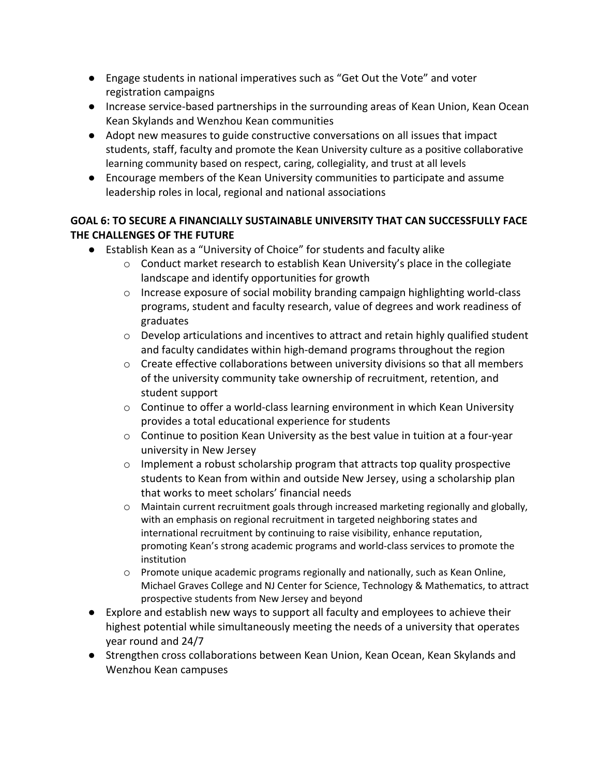- Engage students in national imperatives such as "Get Out the Vote" and voter registration campaigns
- Increase service-based partnerships in the surrounding areas of Kean Union, Kean Ocean Kean Skylands and Wenzhou Kean communities
- Adopt new measures to guide constructive conversations on all issues that impact students, staff, faculty and promote the Kean University culture as a positive collaborative learning community based on respect, caring, collegiality, and trust at all levels
- Encourage members of the Kean University communities to participate and assume leadership roles in local, regional and national associations

#### **GOAL 6: TO SECURE A FINANCIALLY SUSTAINABLE UNIVERSITY THAT CAN SUCCESSFULLY FACE THE CHALLENGES OF THE FUTURE**

- Establish Kean as a "University of Choice" for students and faculty alike
	- o Conduct market research to establish Kean University's place in the collegiate landscape and identify opportunities for growth
	- $\circ$  Increase exposure of social mobility branding campaign highlighting world-class programs, student and faculty research, value of degrees and work readiness of graduates
	- $\circ$  Develop articulations and incentives to attract and retain highly qualified student and faculty candidates within high-demand programs throughout the region
	- $\circ$  Create effective collaborations between university divisions so that all members of the university community take ownership of recruitment, retention, and student support
	- o Continue to offer a world-class learning environment in which Kean University provides a total educational experience for students
	- o Continue to position Kean University as the best value in tuition at a four-year university in New Jersey
	- $\circ$  Implement a robust scholarship program that attracts top quality prospective students to Kean from within and outside New Jersey, using a scholarship plan that works to meet scholars' financial needs
	- $\circ$  Maintain current recruitment goals through increased marketing regionally and globally, with an emphasis on regional recruitment in targeted neighboring states and international recruitment by continuing to raise visibility, enhance reputation, promoting Kean's strong academic programs and world-class services to promote the institution
	- $\circ$  Promote unique academic programs regionally and nationally, such as Kean Online, Michael Graves College and NJ Center for Science, Technology & Mathematics, to attract prospective students from New Jersey and beyond
- Explore and establish new ways to support all faculty and employees to achieve their highest potential while simultaneously meeting the needs of a university that operates year round and 24/7
- Strengthen cross collaborations between Kean Union, Kean Ocean, Kean Skylands and Wenzhou Kean campuses